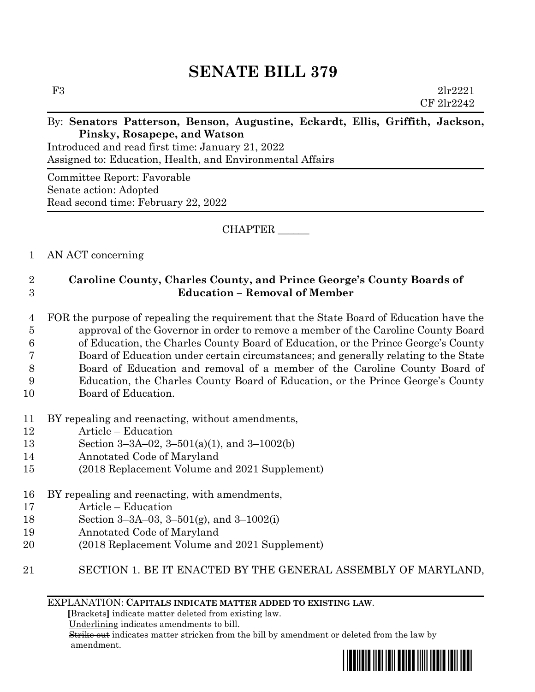# **SENATE BILL 379**

F3 2lr2221 CF 2lr2242

#### By: **Senators Patterson, Benson, Augustine, Eckardt, Ellis, Griffith, Jackson, Pinsky, Rosapepe, and Watson**

Introduced and read first time: January 21, 2022 Assigned to: Education, Health, and Environmental Affairs

Committee Report: Favorable Senate action: Adopted Read second time: February 22, 2022

CHAPTER \_\_\_\_\_\_

## 1 AN ACT concerning

## 2 **Caroline County, Charles County, and Prince George's County Boards of**  3 **Education – Removal of Member**

 FOR the purpose of repealing the requirement that the State Board of Education have the approval of the Governor in order to remove a member of the Caroline County Board of Education, the Charles County Board of Education, or the Prince George's County Board of Education under certain circumstances; and generally relating to the State Board of Education and removal of a member of the Caroline County Board of Education, the Charles County Board of Education, or the Prince George's County

- 10 Board of Education.
- 11 BY repealing and reenacting, without amendments,
- 12 Article Education
- 13 Section 3–3A–02, 3–501(a)(1), and 3–1002(b)
- 14 Annotated Code of Maryland
- 15 (2018 Replacement Volume and 2021 Supplement)
- 16 BY repealing and reenacting, with amendments,
- 17 Article Education
- 18 Section 3–3A–03, 3–501(g), and 3–1002(i)
- 19 Annotated Code of Maryland
- 20 (2018 Replacement Volume and 2021 Supplement)
- 21 SECTION 1. BE IT ENACTED BY THE GENERAL ASSEMBLY OF MARYLAND,

EXPLANATION: **CAPITALS INDICATE MATTER ADDED TO EXISTING LAW**.

 **[**Brackets**]** indicate matter deleted from existing law.

Underlining indicates amendments to bill.

 Strike out indicates matter stricken from the bill by amendment or deleted from the law by amendment.

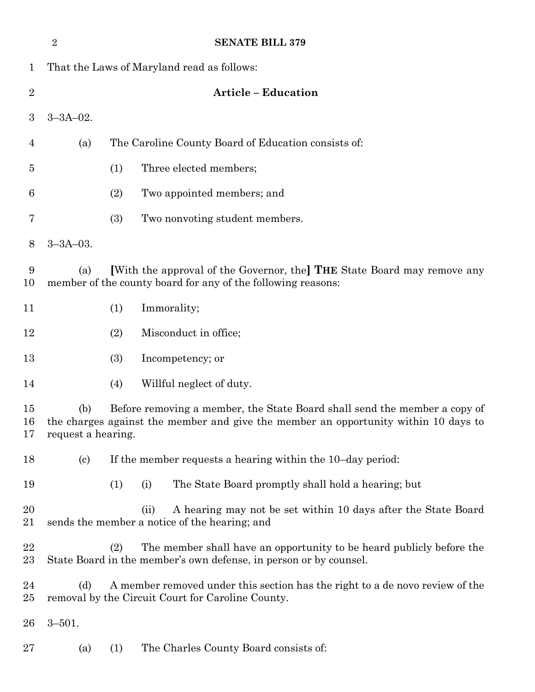|                | $\overline{2}$                                                                                                                                                                                |                                                     |      | <b>SENATE BILL 379</b>                                                                                                                    |  |  |  |  |
|----------------|-----------------------------------------------------------------------------------------------------------------------------------------------------------------------------------------------|-----------------------------------------------------|------|-------------------------------------------------------------------------------------------------------------------------------------------|--|--|--|--|
| $\mathbf{1}$   | That the Laws of Maryland read as follows:                                                                                                                                                    |                                                     |      |                                                                                                                                           |  |  |  |  |
| $\overline{2}$ | <b>Article - Education</b>                                                                                                                                                                    |                                                     |      |                                                                                                                                           |  |  |  |  |
| 3              | $3 - 3A - 02$ .                                                                                                                                                                               |                                                     |      |                                                                                                                                           |  |  |  |  |
| 4              | (a)                                                                                                                                                                                           | The Caroline County Board of Education consists of: |      |                                                                                                                                           |  |  |  |  |
| $\overline{5}$ |                                                                                                                                                                                               | (1)                                                 |      | Three elected members;                                                                                                                    |  |  |  |  |
| 6              |                                                                                                                                                                                               | (2)                                                 |      | Two appointed members; and                                                                                                                |  |  |  |  |
| 7              |                                                                                                                                                                                               | (3)                                                 |      | Two nonvoting student members.                                                                                                            |  |  |  |  |
| 8              | $3 - 3A - 03$ .                                                                                                                                                                               |                                                     |      |                                                                                                                                           |  |  |  |  |
| 9<br>10        | [With the approval of the Governor, the] THE State Board may remove any<br>(a)<br>member of the county board for any of the following reasons:                                                |                                                     |      |                                                                                                                                           |  |  |  |  |
| 11             |                                                                                                                                                                                               | (1)                                                 |      | Immorality;                                                                                                                               |  |  |  |  |
| 12             |                                                                                                                                                                                               | (2)<br>Misconduct in office;                        |      |                                                                                                                                           |  |  |  |  |
| 13             |                                                                                                                                                                                               | (3)                                                 |      | Incompetency; or                                                                                                                          |  |  |  |  |
| 14             |                                                                                                                                                                                               | (4)                                                 |      | Willful neglect of duty.                                                                                                                  |  |  |  |  |
| 15<br>16<br>17 | Before removing a member, the State Board shall send the member a copy of<br>(b)<br>the charges against the member and give the member an opportunity within 10 days to<br>request a hearing. |                                                     |      |                                                                                                                                           |  |  |  |  |
| 18             | $\left( \mathrm{c}\right)$                                                                                                                                                                    |                                                     |      | If the member requests a hearing within the 10-day period:                                                                                |  |  |  |  |
| 19             |                                                                                                                                                                                               | (1)                                                 | (i)  | The State Board promptly shall hold a hearing; but                                                                                        |  |  |  |  |
| 20<br>21       |                                                                                                                                                                                               |                                                     | (ii) | A hearing may not be set within 10 days after the State Board<br>sends the member a notice of the hearing; and                            |  |  |  |  |
| 22<br>$23\,$   |                                                                                                                                                                                               | (2)                                                 |      | The member shall have an opportunity to be heard publicly before the<br>State Board in the member's own defense, in person or by counsel. |  |  |  |  |
| 24<br>$25\,$   | A member removed under this section has the right to a de novo review of the<br>(d)<br>removal by the Circuit Court for Caroline County.                                                      |                                                     |      |                                                                                                                                           |  |  |  |  |
| $26\,$         | $3 - 501.$                                                                                                                                                                                    |                                                     |      |                                                                                                                                           |  |  |  |  |
| $27\,$         | (a)                                                                                                                                                                                           | (1)                                                 |      | The Charles County Board consists of:                                                                                                     |  |  |  |  |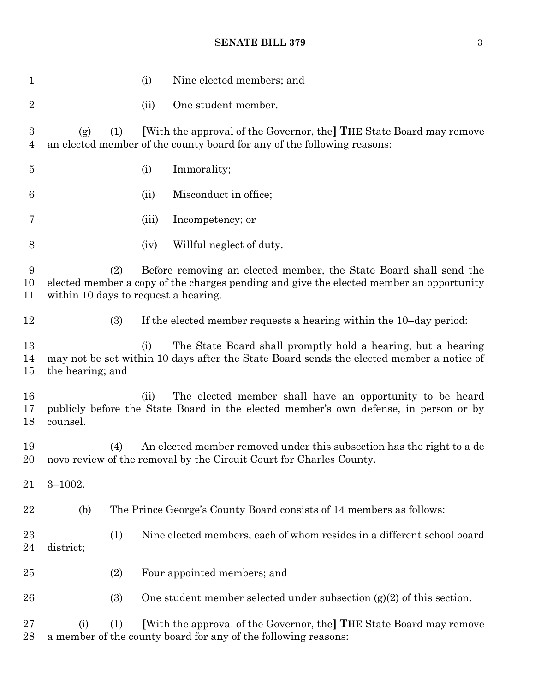#### **SENATE BILL 379** 3

| 1                  |                                                                                                                                                                                                             | (i)   | Nine elected members; and                                                                                                                        |  |  |
|--------------------|-------------------------------------------------------------------------------------------------------------------------------------------------------------------------------------------------------------|-------|--------------------------------------------------------------------------------------------------------------------------------------------------|--|--|
| $\overline{2}$     |                                                                                                                                                                                                             | (ii)  | One student member.                                                                                                                              |  |  |
| 3<br>4             | (g)<br>(1)                                                                                                                                                                                                  |       | [With the approval of the Governor, the] THE State Board may remove<br>an elected member of the county board for any of the following reasons:   |  |  |
| $\overline{5}$     |                                                                                                                                                                                                             | (i)   | Immorality;                                                                                                                                      |  |  |
| 6                  |                                                                                                                                                                                                             | (ii)  | Misconduct in office;                                                                                                                            |  |  |
| 7                  |                                                                                                                                                                                                             | (iii) | Incompetency; or                                                                                                                                 |  |  |
| 8                  |                                                                                                                                                                                                             | (iv)  | Willful neglect of duty.                                                                                                                         |  |  |
| 9<br>10<br>11      | Before removing an elected member, the State Board shall send the<br>(2)<br>elected member a copy of the charges pending and give the elected member an opportunity<br>within 10 days to request a hearing. |       |                                                                                                                                                  |  |  |
| 12                 | (3)                                                                                                                                                                                                         |       | If the elected member requests a hearing within the 10-day period:                                                                               |  |  |
| 13<br>14<br>$15\,$ | The State Board shall promptly hold a hearing, but a hearing<br>(i)<br>may not be set within 10 days after the State Board sends the elected member a notice of<br>the hearing; and                         |       |                                                                                                                                                  |  |  |
| 16<br>17<br>18     | counsel.                                                                                                                                                                                                    | (ii)  | The elected member shall have an opportunity to be heard<br>publicly before the State Board in the elected member's own defense, in person or by |  |  |
| 19<br>20           | (4)                                                                                                                                                                                                         |       | An elected member removed under this subsection has the right to a de<br>novo review of the removal by the Circuit Court for Charles County.     |  |  |
| 21                 | $3 - 1002.$                                                                                                                                                                                                 |       |                                                                                                                                                  |  |  |
| 22                 | (b)                                                                                                                                                                                                         |       | The Prince George's County Board consists of 14 members as follows:                                                                              |  |  |
| 23<br>24           | (1)<br>district;                                                                                                                                                                                            |       | Nine elected members, each of whom resides in a different school board                                                                           |  |  |
| $25\,$             | (2)                                                                                                                                                                                                         |       | Four appointed members; and                                                                                                                      |  |  |
| 26                 | (3)                                                                                                                                                                                                         |       | One student member selected under subsection $(g)(2)$ of this section.                                                                           |  |  |
| $27\,$<br>28       | (1)<br>(i)                                                                                                                                                                                                  |       | [With the approval of the Governor, the] THE State Board may remove<br>a member of the county board for any of the following reasons:            |  |  |